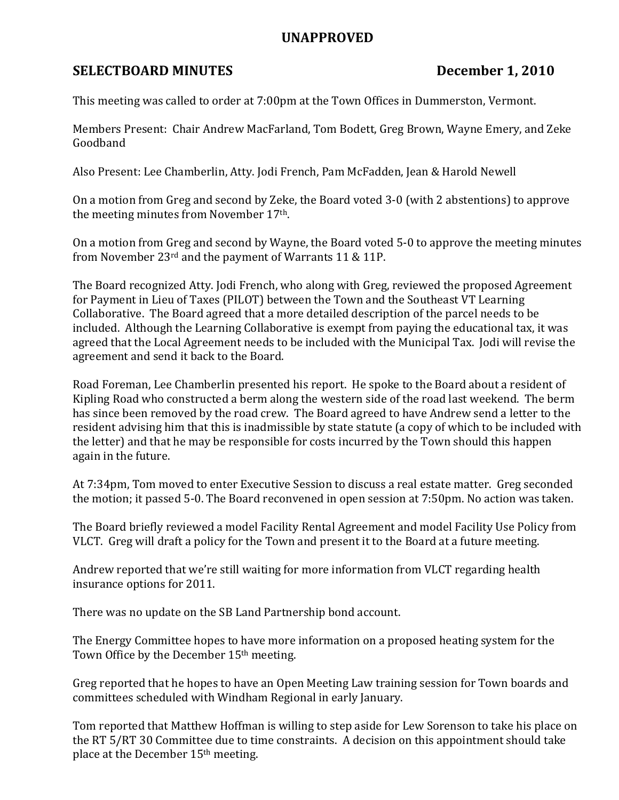## UNAPPROVED

## SELECTBOARD MINUTES December 1, 2010

This meeting was called to order at 7:00pm at the Town Offices in Dummerston, Vermont.

Members Present: Chair Andrew MacFarland, Tom Bodett, Greg Brown, Wayne Emery, and Zeke Goodband

Also Present: Lee Chamberlin, Atty. Jodi French, Pam McFadden, Jean & Harold Newell

On a motion from Greg and second by Zeke, the Board voted 3-0 (with 2 abstentions) to approve the meeting minutes from November 17th.

On a motion from Greg and second by Wayne, the Board voted 5-0 to approve the meeting minutes from November 23rd and the payment of Warrants 11 & 11P.

The Board recognized Atty. Jodi French, who along with Greg, reviewed the proposed Agreement for Payment in Lieu of Taxes (PILOT) between the Town and the Southeast VT Learning Collaborative. The Board agreed that a more detailed description of the parcel needs to be included. Although the Learning Collaborative is exempt from paying the educational tax, it was agreed that the Local Agreement needs to be included with the Municipal Tax. Jodi will revise the agreement and send it back to the Board.

Road Foreman, Lee Chamberlin presented his report. He spoke to the Board about a resident of Kipling Road who constructed a berm along the western side of the road last weekend. The berm has since been removed by the road crew. The Board agreed to have Andrew send a letter to the resident advising him that this is inadmissible by state statute (a copy of which to be included with the letter) and that he may be responsible for costs incurred by the Town should this happen again in the future.

At 7:34pm, Tom moved to enter Executive Session to discuss a real estate matter. Greg seconded the motion; it passed 5-0. The Board reconvened in open session at 7:50pm. No action was taken.

The Board briefly reviewed a model Facility Rental Agreement and model Facility Use Policy from VLCT. Greg will draft a policy for the Town and present it to the Board at a future meeting.

Andrew reported that we're still waiting for more information from VLCT regarding health insurance options for 2011.

There was no update on the SB Land Partnership bond account.

The Energy Committee hopes to have more information on a proposed heating system for the Town Office by the December 15<sup>th</sup> meeting.

Greg reported that he hopes to have an Open Meeting Law training session for Town boards and committees scheduled with Windham Regional in early January.

Tom reported that Matthew Hoffman is willing to step aside for Lew Sorenson to take his place on the RT 5/RT 30 Committee due to time constraints. A decision on this appointment should take place at the December 15th meeting.